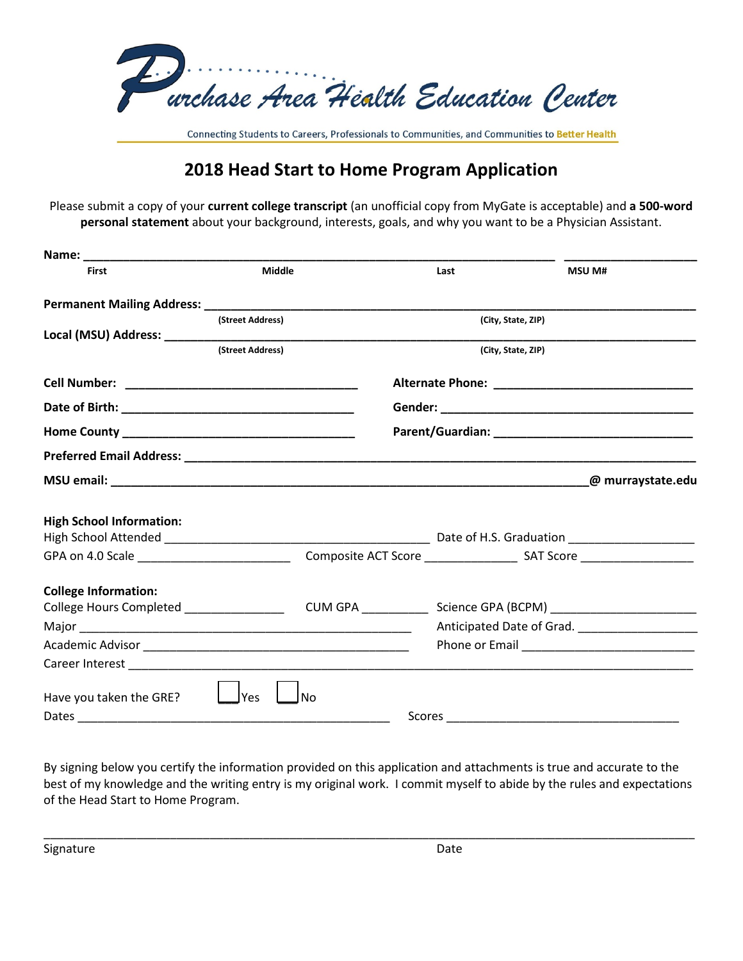

Connecting Students to Careers, Professionals to Communities, and Communities to Better Health

## **2018 Head Start to Home Program Application**

Please submit a copy of your **current college transcript** (an unofficial copy from MyGate is acceptable) and **a 500-word personal statement** about your background, interests, goals, and why you want to be a Physician Assistant.

| <b>First</b>                                | <b>Middle</b>    |      | Last |                    | <b>MSU M#</b>                                    |
|---------------------------------------------|------------------|------|------|--------------------|--------------------------------------------------|
|                                             |                  |      |      |                    |                                                  |
|                                             | (Street Address) |      |      | (City, State, ZIP) |                                                  |
|                                             |                  |      |      |                    |                                                  |
|                                             | (Street Address) |      |      | (City, State, ZIP) |                                                  |
|                                             |                  |      |      |                    |                                                  |
| Date of Birth: National Action of Birth:    |                  |      |      |                    |                                                  |
|                                             |                  |      |      |                    |                                                  |
|                                             |                  |      |      |                    |                                                  |
|                                             |                  |      |      |                    | @ murraystate.edu                                |
| <b>High School Information:</b>             |                  |      |      |                    |                                                  |
|                                             |                  |      |      |                    |                                                  |
| GPA on 4.0 Scale __________________________ |                  |      |      |                    |                                                  |
| <b>College Information:</b>                 |                  |      |      |                    |                                                  |
|                                             |                  |      |      |                    |                                                  |
|                                             |                  |      |      |                    | Anticipated Date of Grad. ______________________ |
|                                             |                  |      |      |                    |                                                  |
|                                             |                  |      |      |                    |                                                  |
| Have you taken the GRE?                     | <b>Yes</b>       | l No |      |                    |                                                  |
|                                             |                  |      |      |                    |                                                  |

By signing below you certify the information provided on this application and attachments is true and accurate to the best of my knowledge and the writing entry is my original work. I commit myself to abide by the rules and expectations of the Head Start to Home Program.

\_\_\_\_\_\_\_\_\_\_\_\_\_\_\_\_\_\_\_\_\_\_\_\_\_\_\_\_\_\_\_\_\_\_\_\_\_\_\_\_\_\_\_\_\_\_\_\_\_\_\_\_\_\_\_\_\_\_\_\_\_\_\_\_\_\_\_\_\_\_\_\_\_\_\_\_\_\_\_\_\_\_\_\_\_\_\_\_\_\_\_\_\_\_\_\_\_\_

Signature Date